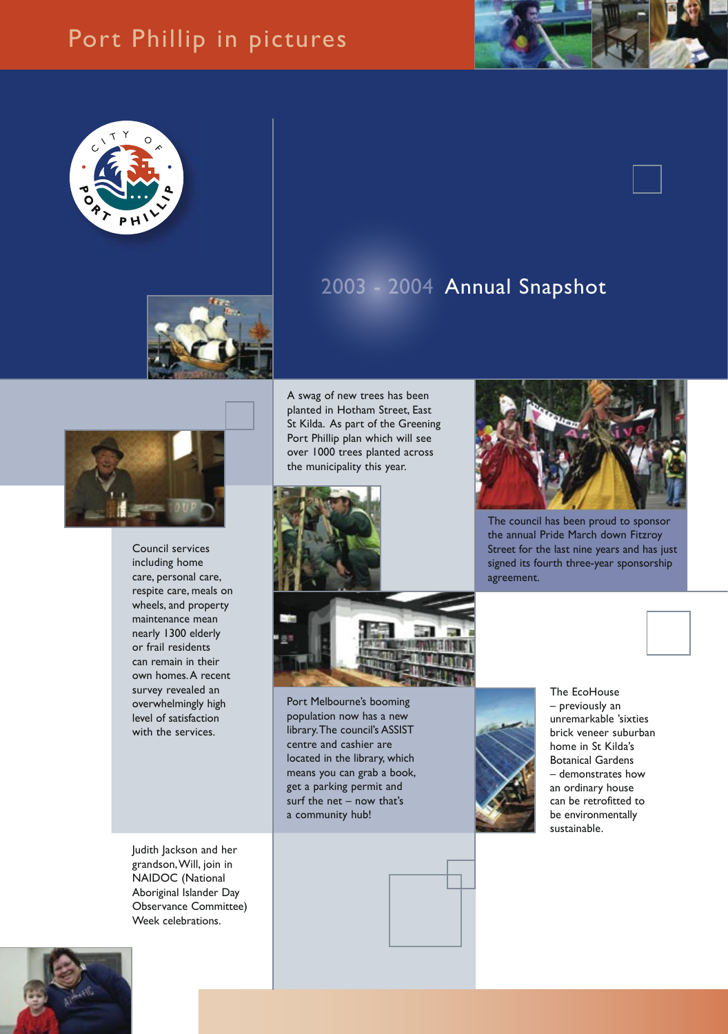## Port Phillip in pictures







Council services including home care, personal care, respite care, meals on wheels, and property maintenance mean nearly 1300 elderly or frail residents can remain in their own homes. A recent survey revealed an overwhelmingly high level of satisfaction with the services.

Judith Jackson and her grandson, Will, join in NAIDOC (National Aboriginal Islander Day Observance Committee) Week celebrations.

A swag of new trees has been planted in Hotham Street, East St Kilda. As part of the Greening Port Phillip plan which will see over 1000 trees planted across the municipality this year.

2003 - 2004 Annual Snapshot



Port Melbourne's booming population now has a new library. The council's ASSIST centre and cashier are located in the library, which means you can grab a book, get a parking permit and surf the net – now that's a community hub!



The council has been proud to sponsor the annual Pride March down Fitzroy Street for the last nine years and has just signed its fourth three-year sponsorship agreement.





The EcoHouse – previously an unremarkable 'sixties brick veneer suburban home in St Kilda's Botanical Gardens – demonstrates how an ordinary house can be retrofitted to be environmentally sustainable.

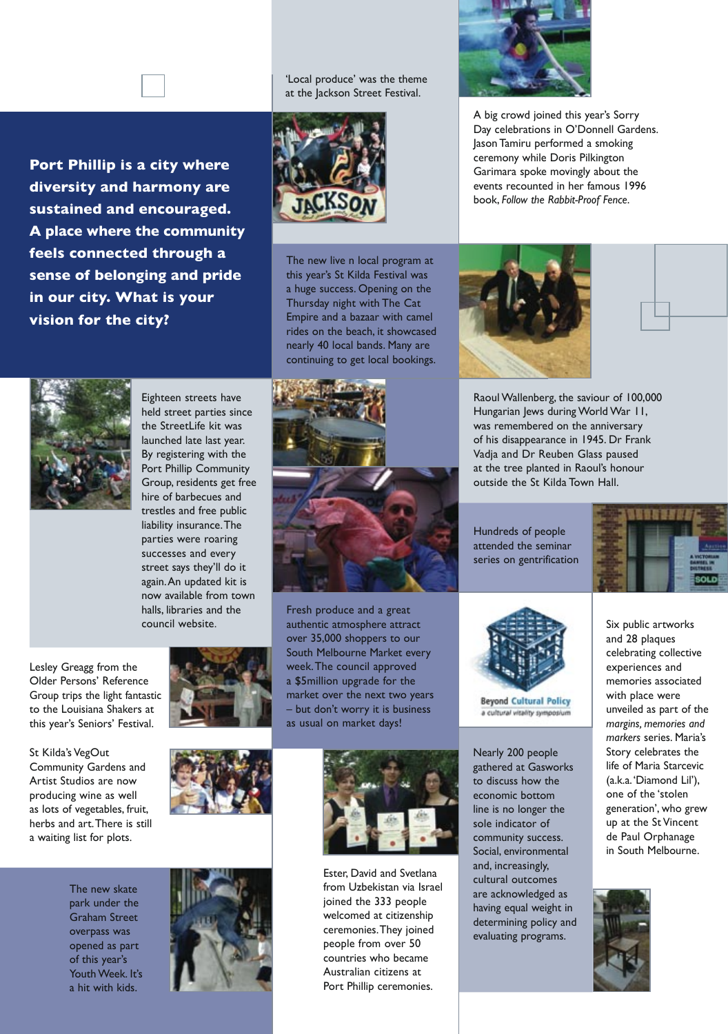'Local produce' was the theme at the Jackson Street Festival.





The new live n local program at this year's St Kilda Festival was a huge success. Opening on the Thursday night with The Cat Empire and a bazaar with camel rides on the beach, it showcased nearly 40 local bands. Many are continuing to get local bookings.



A big crowd joined this year's Sorry Day celebrations in O'Donnell Gardens. Jason Tamiru performed a smoking ceremony while Doris Pilkington Garimara spoke movingly about the events recounted in her famous 1996 book, *Follow the Rabbit-Proof Fence*.





at the tree planted in Raoul's honour outside the St Kilda Town Hall.



Eighteen streets have held street parties since the StreetLife kit was launched late last year. By registering with the Port Phillip Community Group, residents get free hire of barbecues and trestles and free public liability insurance. The parties were roaring successes and every street says they'll do it again. An updated kit is now available from town halls, libraries and the council website.



South Melbourne Market every market over the next two years – but don't worry it is business



**Beyond Cultural Policy** a cultural vitality symposium

Nearly 200 people gathered at Gasworks to discuss how the economic bottom line is no longer the sole indicator of community success. Social, environmental and, increasingly, cultural outcomes are acknowledged as having equal weight in determining policy and evaluating programs.

Six public artworks and 28 plaques celebrating collective experiences and memories associated with place were unveiled as part of the *margins, memories and markers* series. Maria's Story celebrates the life of Maria Starcevic (a.k.a. 'Diamond Lil'), one of the 'stolen generation', who grew up at the St Vincent de Paul Orphanage in South Melbourne.



Lesley Greagg from the Older Persons' Reference Group trips the light fantastic to the Louisiana Shakers at this year's Seniors' Festival.

St Kilda's VegOut Community Gardens and Artist Studios are now producing wine as well as lots of vegetables, fruit, herbs and art. There is still a waiting list for plots.

overpass was

of this year's







Fresh produce and a great authentic atmosphere attract over 35,000 shoppers to our week. The council approved a \$5million upgrade for the



Ester, David and Svetlana from Uzbekistan via Israel joined the 333 people welcomed at citizenship ceremonies. They joined people from over 50 countries who became Australian citizens at Port Phillip ceremonies.





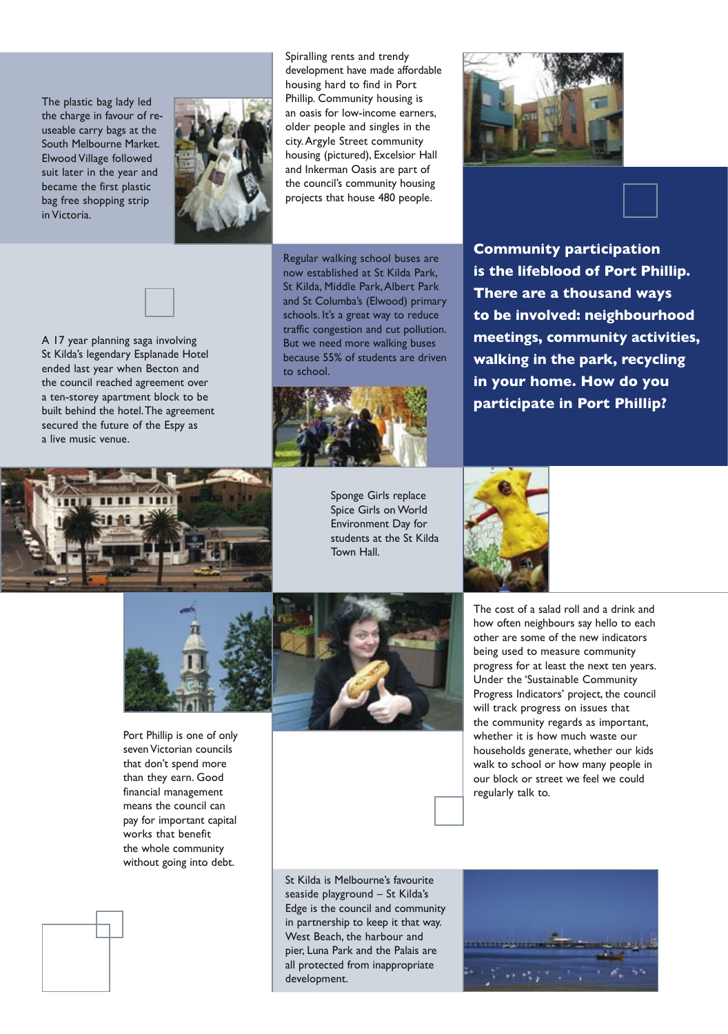The plastic bag lady led the charge in favour of reuseable carry bags at the South Melbourne Market. Elwood Village followed suit later in the year and became the first plastic bag free shopping strip in Victoria.



Spiralling rents and trendy development have made affordable housing hard to find in Port Phillip. Community housing is an oasis for low-income earners, older people and singles in the city. Argyle Street community housing (pictured), Excelsior Hall and Inkerman Oasis are part of the council's community housing projects that house 480 people.



Regular walking school buses are now established at St Kilda Park, St Kilda, Middle Park, Albert Park and St Columba's (Elwood) primary schools. It's a great way to reduce traffic congestion and cut pollution. But we need more walking buses because 55% of students are driven to school.



**Community participation is the lifeblood of Port Phillip. There are a thousand ways to be involved: neighbourhood meetings, community activities, walking in the park, recycling in your home. How do you participate in Port Phillip?**









Port Phillip is one of only seven Victorian councils that don't spend more than they earn. Good financial management means the council can pay for important capital works that benefit the whole community without going into debt.

The cost of a salad roll and a drink and how often neighbours say hello to each other are some of the new indicators being used to measure community progress for at least the next ten years. Under the 'Sustainable Community Progress Indicators' project, the council will track progress on issues that the community regards as important, whether it is how much waste our households generate, whether our kids walk to school or how many people in our block or street we feel we could regularly talk to.

St Kilda is Melbourne's favourite seaside playground – St Kilda's Edge is the council and community in partnership to keep it that way. West Beach, the harbour and pier, Luna Park and the Palais are all protected from inappropriate development.





A 17 year planning saga involving St Kilda's legendary Esplanade Hotel ended last year when Becton and the council reached agreement over a ten-storey apartment block to be built behind the hotel. The agreement secured the future of the Espy as

a live music venue.